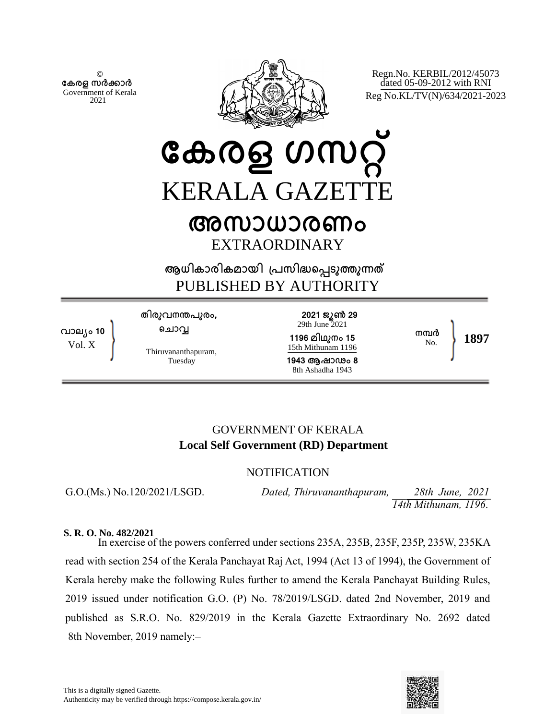© **േകരള സർകാർ** Government of Kerala 2021



Regn.No. KERBIL/2012/45073 dated 05-09-2012 with RNI Reg No.KL/TV(N)/634/2021-2023

**േകരള ഗസറ്** KERALA GAZETT

# **അസാധാരണം** EXTRAORDINARY

**ആധികാരികമായി ്പസിദെപടുതുനത** PUBLISHED BY AUTHORITY

**വാല്ം 10** Vol. X

**തിരുവനനപുരം, െചാവ**

Thiruvananthapuram, Tuesday

**2021 ജൂണ 29** 29th June 2021 **1196 മിഥുനം 15** 15th Mithunam 1196

**1943 ആഷാഢം 8** 8th Ashadha 1943

No. **1897**

**നമർ**

## GOVERNMENT OF KERALA **Local Self Government (RD) Department**

## **NOTIFICATION**

G.O.(Ms.) No.120/2021/LSGD. *Dated, Thiruvananthapuram, 28th June, 2021 14th Mithunam, 1196*.

#### **S. R. O. No. 482/2021**

In exercise of the powers conferred under sections 235A, 235B, 235F, 235P, 235W, 235KA read with section 254 of the Kerala Panchayat Raj Act, 1994 (Act 13 of 1994), the Government of Kerala hereby make the following Rules further to amend the Kerala Panchayat Building Rules, 2019 issued under notification G.O. (P) No. 78/2019/LSGD. dated 2nd November, 2019 and published as S.R.O. No. 829/2019 in the Kerala Gazette Extraordinary No. 2692 dated 8th November, 2019 namely:–

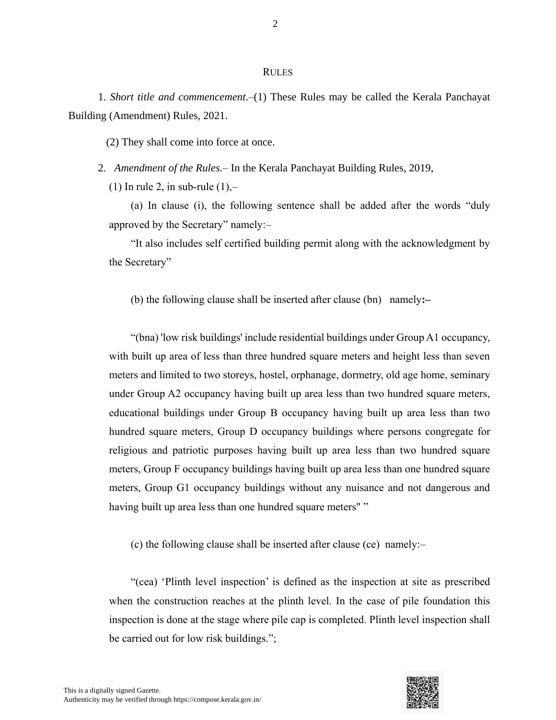#### RULES

1. *Short title and commencement*.–(1) These Rules may be called the Kerala Panchayat Building (Amendment) Rules, 2021.

(2) They shall come into force at once.

2. *Amendment of the Rules.*– In the Kerala Panchayat Building Rules, 2019,

(1) In rule 2, in sub-rule  $(1)$ ,-

(a) In clause (i), the following sentence shall be added after the words "duly approved by the Secretary" namely:–

"It also includes self certified building permit along with the acknowledgment by the Secretary"

(b) the following clause shall be inserted after clause (bn) namely**:–**

"(bna) 'low risk buildings' include residential buildings under Group A1 occupancy, with built up area of less than three hundred square meters and height less than seven meters and limited to two storeys, hostel, orphanage, dormetry, old age home, seminary under Group A2 occupancy having built up area less than two hundred square meters, educational buildings under Group B occupancy having built up area less than two hundred square meters, Group D occupancy buildings where persons congregate for religious and patriotic purposes having built up area less than two hundred square meters, Group F occupancy buildings having built up area less than one hundred square meters, Group G1 occupancy buildings without any nuisance and not dangerous and having built up area less than one hundred square meters""

(c) the following clause shall be inserted after clause (ce) namely:–

"(cea) 'Plinth level inspection' is defined as the inspection at site as prescribed when the construction reaches at the plinth level. In the case of pile foundation this inspection is done at the stage where pile cap is completed. Plinth level inspection shall be carried out for low risk buildings.";



2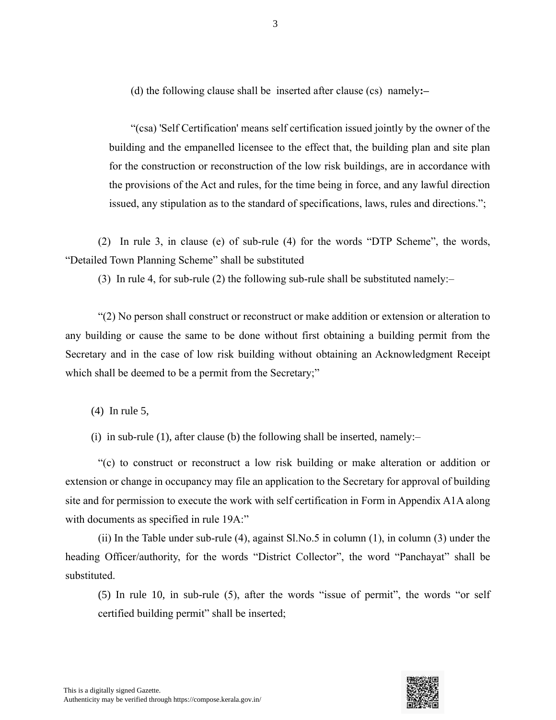(d) the following clause shall be inserted after clause (cs) namely**:–**

"(csa) 'Self Certification' means self certification issued jointly by the owner of the building and the empanelled licensee to the effect that, the building plan and site plan for the construction or reconstruction of the low risk buildings, are in accordance with the provisions of the Act and rules, for the time being in force, and any lawful direction issued, any stipulation as to the standard of specifications, laws, rules and directions.";

(2) In rule 3, in clause (e) of sub-rule (4) for the words "DTP Scheme", the words, "Detailed Town Planning Scheme" shall be substituted

(3) In rule 4, for sub-rule (2) the following sub-rule shall be substituted namely:–

"(2) No person shall construct or reconstruct or make addition or extension or alteration to any building or cause the same to be done without first obtaining a building permit from the Secretary and in the case of low risk building without obtaining an Acknowledgment Receipt which shall be deemed to be a permit from the Secretary;"

(4) In rule 5,

(i) in sub-rule (1), after clause (b) the following shall be inserted, namely:–

"(c) to construct or reconstruct a low risk building or make alteration or addition or extension or change in occupancy may file an application to the Secretary for approval of building site and for permission to execute the work with self certification in Form in Appendix A1A along with documents as specified in rule 19A:"

(ii) In the Table under sub-rule (4), against Sl.No.5 in column (1), in column (3) under the heading Officer/authority, for the words "District Collector", the word "Panchayat" shall be substituted.

(5) In rule 10, in sub-rule (5), after the words "issue of permit", the words "or self certified building permit" shall be inserted;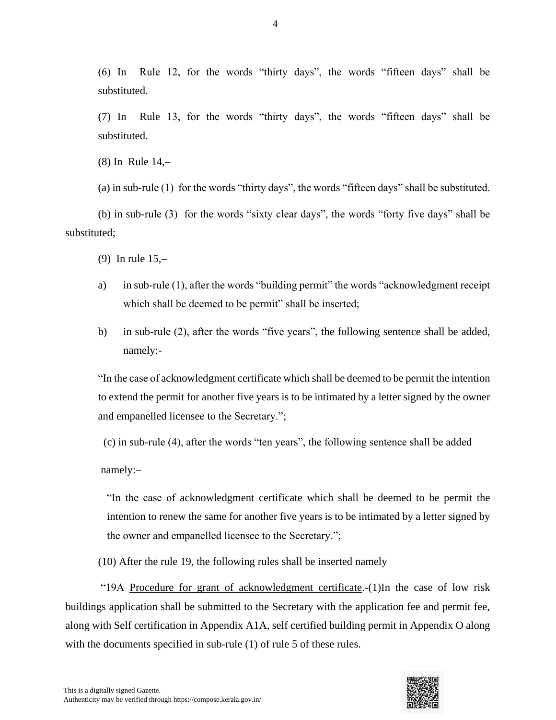(6) In Rule 12, for the words "thirty days", the words "fifteen days" shall be substituted.

(7) In Rule 13, for the words "thirty days", the words "fifteen days" shall be substituted.

(8) In Rule 14,–

(a) in sub-rule (1) for the words "thirty days", the words "fifteen days" shall be substituted.

(b) in sub-rule (3) for the words "sixty clear days", the words "forty five days" shall be substituted;

(9) In rule 15,–

- a) in sub-rule (1), after the words "building permit" the words "acknowledgment receipt which shall be deemed to be permit" shall be inserted;
- b) in sub-rule (2), after the words "five years", the following sentence shall be added, namely:-

"In the case of acknowledgment certificate which shall be deemed to be permit the intention to extend the permit for another five years is to be intimated by a letter signed by the owner and empanelled licensee to the Secretary.";

(c) in sub-rule (4), after the words "ten years", the following sentence shall be added

namely:–

"In the case of acknowledgment certificate which shall be deemed to be permit the intention to renew the same for another five years is to be intimated by a letter signed by the owner and empanelled licensee to the Secretary.";

(10) After the rule 19, the following rules shall be inserted namely

"19A Procedure for grant of acknowledgment certificate.-(1)In the case of low risk buildings application shall be submitted to the Secretary with the application fee and permit fee, along with Self certification in Appendix A1A, self certified building permit in Appendix O along with the documents specified in sub-rule (1) of rule 5 of these rules.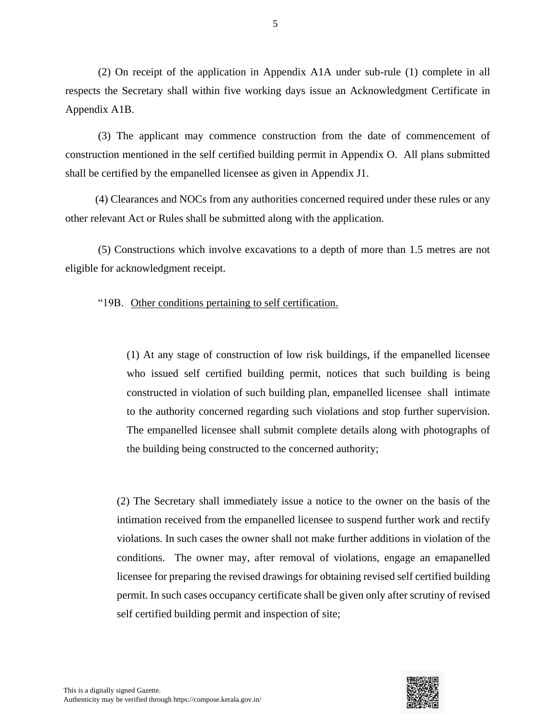(2) On receipt of the application in Appendix A1A under sub-rule (1) complete in all respects the Secretary shall within five working days issue an Acknowledgment Certificate in Appendix A1B.

(3) The applicant may commence construction from the date of commencement of construction mentioned in the self certified building permit in Appendix O. All plans submitted shall be certified by the empanelled licensee as given in Appendix J1.

 (4) Clearances and NOCs from any authorities concerned required under these rules or any other relevant Act or Rules shall be submitted along with the application.

(5) Constructions which involve excavations to a depth of more than 1.5 metres are not eligible for acknowledgment receipt.

"19B. Other conditions pertaining to self certification.

(1) At any stage of construction of low risk buildings, if the empanelled licensee who issued self certified building permit, notices that such building is being constructed in violation of such building plan, empanelled licensee shall intimate to the authority concerned regarding such violations and stop further supervision. The empanelled licensee shall submit complete details along with photographs of the building being constructed to the concerned authority;

(2) The Secretary shall immediately issue a notice to the owner on the basis of the intimation received from the empanelled licensee to suspend further work and rectify violations. In such cases the owner shall not make further additions in violation of the conditions. The owner may, after removal of violations, engage an emapanelled licensee for preparing the revised drawings for obtaining revised self certified building permit. In such cases occupancy certificate shall be given only after scrutiny of revised self certified building permit and inspection of site;

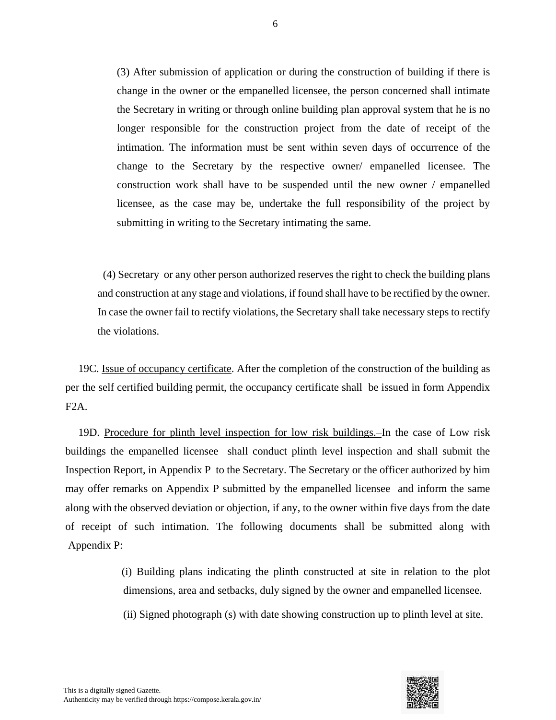(3) After submission of application or during the construction of building if there is change in the owner or the empanelled licensee, the person concerned shall intimate the Secretary in writing or through online building plan approval system that he is no longer responsible for the construction project from the date of receipt of the intimation. The information must be sent within seven days of occurrence of the change to the Secretary by the respective owner/ empanelled licensee. The construction work shall have to be suspended until the new owner / empanelled licensee, as the case may be, undertake the full responsibility of the project by submitting in writing to the Secretary intimating the same.

 (4) Secretary or any other person authorized reserves the right to check the building plans and construction at any stage and violations, if found shall have to be rectified by the owner. In case the owner fail to rectify violations, the Secretary shall take necessary steps to rectify the violations.

19C. Issue of occupancy certificate. After the completion of the construction of the building as per the self certified building permit, the occupancy certificate shall be issued in form Appendix F2A.

19D. Procedure for plinth level inspection for low risk buildings.–In the case of Low risk buildings the empanelled licensee shall conduct plinth level inspection and shall submit the Inspection Report, in Appendix P to the Secretary. The Secretary or the officer authorized by him may offer remarks on Appendix P submitted by the empanelled licensee and inform the same along with the observed deviation or objection, if any, to the owner within five days from the date of receipt of such intimation. The following documents shall be submitted along with Appendix P:

> (i) Building plans indicating the plinth constructed at site in relation to the plot dimensions, area and setbacks, duly signed by the owner and empanelled licensee.

(ii) Signed photograph (s) with date showing construction up to plinth level at site.

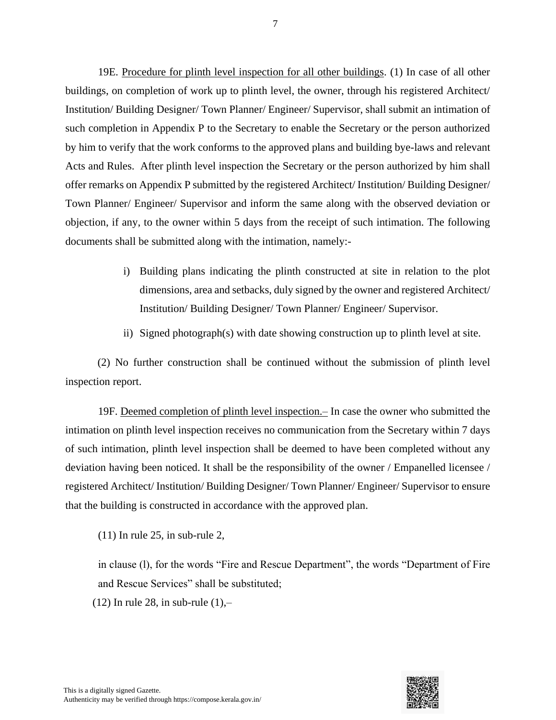19E. Procedure for plinth level inspection for all other buildings. (1) In case of all other buildings, on completion of work up to plinth level, the owner, through his registered Architect/ Institution/ Building Designer/ Town Planner/ Engineer/ Supervisor, shall submit an intimation of such completion in Appendix P to the Secretary to enable the Secretary or the person authorized by him to verify that the work conforms to the approved plans and building bye-laws and relevant Acts and Rules. After plinth level inspection the Secretary or the person authorized by him shall offer remarks on Appendix P submitted by the registered Architect/ Institution/ Building Designer/ Town Planner/ Engineer/ Supervisor and inform the same along with the observed deviation or objection, if any, to the owner within 5 days from the receipt of such intimation. The following documents shall be submitted along with the intimation, namely:-

- i) Building plans indicating the plinth constructed at site in relation to the plot dimensions, area and setbacks, duly signed by the owner and registered Architect/ Institution/ Building Designer/ Town Planner/ Engineer/ Supervisor.
- ii) Signed photograph(s) with date showing construction up to plinth level at site.

(2) No further construction shall be continued without the submission of plinth level inspection report.

19F. Deemed completion of plinth level inspection.– In case the owner who submitted the intimation on plinth level inspection receives no communication from the Secretary within 7 days of such intimation, plinth level inspection shall be deemed to have been completed without any deviation having been noticed. It shall be the responsibility of the owner / Empanelled licensee / registered Architect/ Institution/ Building Designer/ Town Planner/ Engineer/ Supervisor to ensure that the building is constructed in accordance with the approved plan.

(11) In rule 25, in sub-rule 2,

in clause (l), for the words "Fire and Rescue Department", the words "Department of Fire and Rescue Services" shall be substituted;

 $(12)$  In rule 28, in sub-rule  $(1)$ ,-

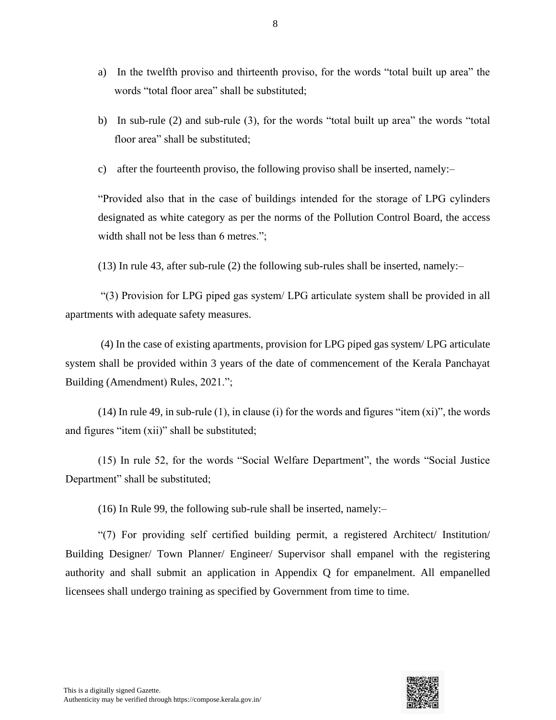- a) In the twelfth proviso and thirteenth proviso, for the words "total built up area" the words "total floor area" shall be substituted;
- b) In sub-rule (2) and sub-rule (3), for the words "total built up area" the words "total floor area" shall be substituted;
- c) after the fourteenth proviso, the following proviso shall be inserted, namely:–

"Provided also that in the case of buildings intended for the storage of LPG cylinders designated as white category as per the norms of the Pollution Control Board, the access width shall not be less than 6 metres.";

(13) In rule 43, after sub-rule (2) the following sub-rules shall be inserted, namely:–

 "(3) Provision for LPG piped gas system/ LPG articulate system shall be provided in all apartments with adequate safety measures.

 (4) In the case of existing apartments, provision for LPG piped gas system/ LPG articulate system shall be provided within 3 years of the date of commencement of the Kerala Panchayat Building (Amendment) Rules, 2021.";

(14) In rule 49, in sub-rule (1), in clause (i) for the words and figures "item (xi)", the words and figures "item (xii)" shall be substituted;

(15) In rule 52, for the words "Social Welfare Department", the words "Social Justice Department" shall be substituted;

(16) In Rule 99, the following sub-rule shall be inserted, namely:–

"(7) For providing self certified building permit, a registered Architect/ Institution/ Building Designer/ Town Planner/ Engineer/ Supervisor shall empanel with the registering authority and shall submit an application in Appendix Q for empanelment. All empanelled licensees shall undergo training as specified by Government from time to time.

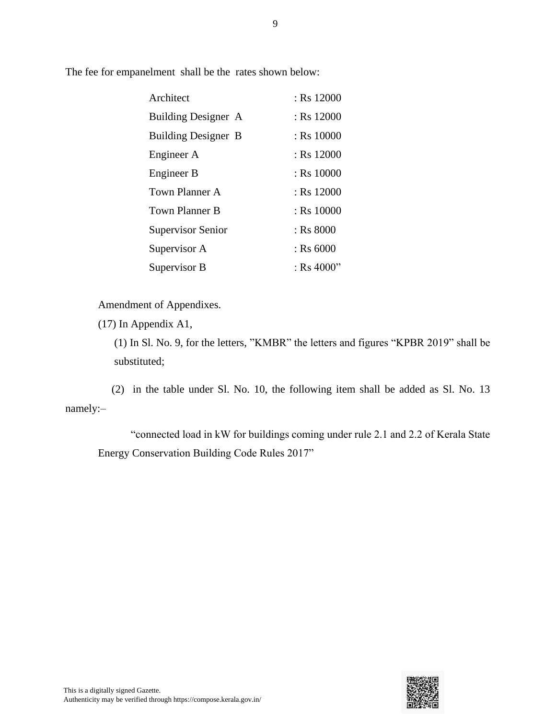The fee for empanelment shall be the rates shown below:

| Architect                  | $:$ Rs 12000 |
|----------------------------|--------------|
| Building Designer A        | $:$ Rs 12000 |
| <b>Building Designer B</b> | $:$ Rs 10000 |
| Engineer A                 | $:$ Rs 12000 |
| Engineer B                 | : Rs 10000   |
| Town Planner A             | $:$ Rs 12000 |
| Town Planner B             | $:$ Rs 10000 |
| Supervisor Senior          | $:$ Rs 8000  |
| Supervisor A               | $:$ Rs 6000  |
| Supervisor B               | : Rs $4000"$ |

Amendment of Appendixes.

(17) In Appendix A1,

(1) In Sl. No. 9, for the letters, "KMBR" the letters and figures "KPBR 2019" shall be substituted;

 (2) in the table under Sl. No. 10, the following item shall be added as Sl. No. 13 namely:–

"connected load in kW for buildings coming under rule 2.1 and 2.2 of Kerala State Energy Conservation Building Code Rules 2017"

9

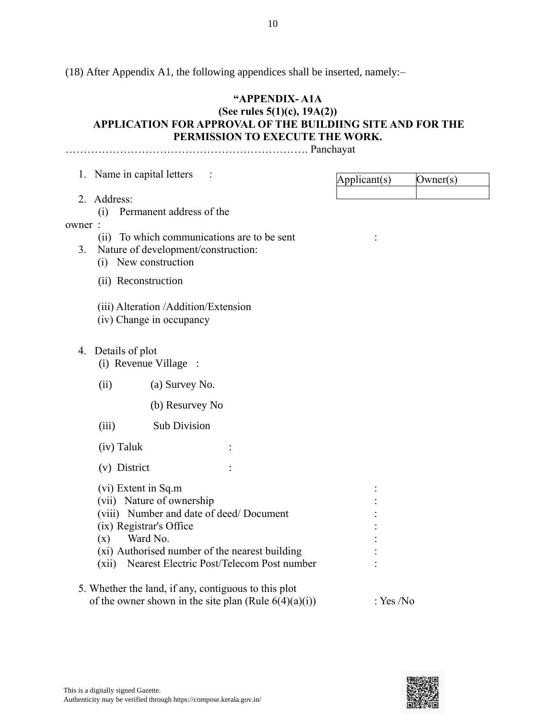(18) After Appendix A1, the following appendices shall be inserted, namely:–

## **"APPENDIX- A1A**

#### **(See rules 5(1)(c), 19A(2)) APPLICATION FOR APPROVAL OF THE BUILDIING SITE AND FOR THE PERMISSION TO EXECUTE THE WORK.**

…………………………………………………………. Panchayat

|        | 1. Name in capital letters                                                         | Applicant(s) | Owner(s) |
|--------|------------------------------------------------------------------------------------|--------------|----------|
|        | 2. Address:                                                                        |              |          |
|        | Permanent address of the<br>(i)                                                    |              |          |
| owner: |                                                                                    |              |          |
| 3.     | (ii) To which communications are to be sent<br>Nature of development/construction: |              |          |
|        | (i) New construction                                                               |              |          |
|        | (ii) Reconstruction                                                                |              |          |
|        |                                                                                    |              |          |
|        | (iii) Alteration / Addition/Extension                                              |              |          |
|        | (iv) Change in occupancy                                                           |              |          |
|        | 4. Details of plot                                                                 |              |          |
|        | (i) Revenue Village :                                                              |              |          |
|        | (ii)<br>(a) Survey No.                                                             |              |          |
|        | (b) Resurvey No                                                                    |              |          |
|        |                                                                                    |              |          |
|        | <b>Sub Division</b><br>(iii)                                                       |              |          |
|        | (iv) Taluk                                                                         |              |          |
|        | (v) District                                                                       |              |          |
|        | (vi) Extent in Sq.m                                                                |              |          |
|        | (vii) Nature of ownership                                                          |              |          |
|        | (viii) Number and date of deed/Document                                            |              |          |
|        | (ix) Registrar's Office<br>Ward No.<br>(x)                                         |              |          |
|        | (xi) Authorised number of the nearest building                                     |              |          |
|        | (xii) Nearest Electric Post/Telecom Post number                                    |              |          |
|        | 5. Whether the land, if any, contiguous to this plot                               |              |          |
|        | of the owner shown in the site plan (Rule $6(4)(a)(i)$ )                           | : Yes /No    |          |

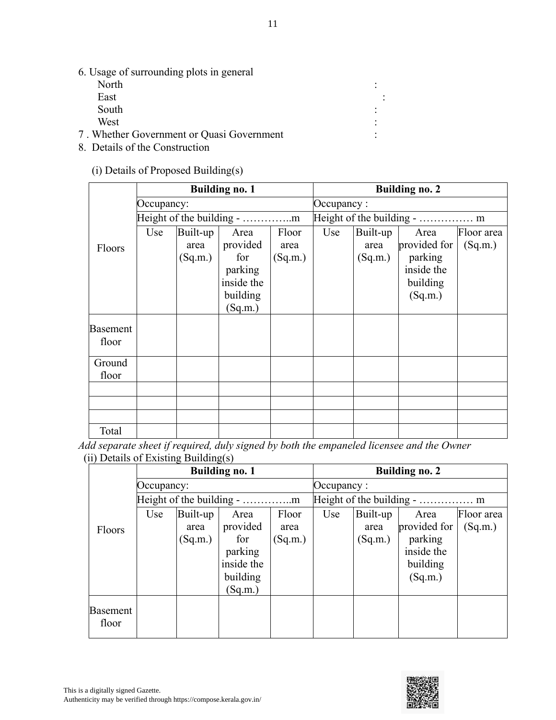6. Usage of surrounding plots in general

| North                                     |  |
|-------------------------------------------|--|
| East                                      |  |
| South                                     |  |
| West                                      |  |
| 7. Whether Government or Quasi Government |  |

8. Details of the Construction

(i) Details of Proposed Building(s)

|          |            |          | <b>Building no. 1</b> |         |            |          | <b>Building no. 2</b> |            |
|----------|------------|----------|-----------------------|---------|------------|----------|-----------------------|------------|
|          | Occupancy: |          |                       |         | Occupancy: |          |                       |            |
|          |            |          |                       |         |            |          |                       |            |
|          | Use        | Built-up | Area                  | Floor   | Use        | Built-up | Area                  | Floor area |
| Floors   |            | area     | provided              | area    |            | area     | provided for          | (Sq.m.)    |
|          |            | (Sq.m.)  | for                   | (Sq.m.) |            | (Sq.m.)  | parking               |            |
|          |            |          | parking               |         |            |          | inside the            |            |
|          |            |          | inside the            |         |            |          | building              |            |
|          |            |          | building              |         |            |          | (Sq.m.)               |            |
|          |            |          | (Sq.m.)               |         |            |          |                       |            |
| Basement |            |          |                       |         |            |          |                       |            |
| floor    |            |          |                       |         |            |          |                       |            |
|          |            |          |                       |         |            |          |                       |            |
| Ground   |            |          |                       |         |            |          |                       |            |
| floor    |            |          |                       |         |            |          |                       |            |
|          |            |          |                       |         |            |          |                       |            |
|          |            |          |                       |         |            |          |                       |            |
|          |            |          |                       |         |            |          |                       |            |
| Total    |            |          |                       |         |            |          |                       |            |

*Add separate sheet if required, duly signed by both the empaneled licensee and the Owner* (ii) Details of Existing Building(s)

|                 |            |          | 017<br><b>Building no. 1</b> |         |            |          | <b>Building no. 2</b> |            |
|-----------------|------------|----------|------------------------------|---------|------------|----------|-----------------------|------------|
|                 | Occupancy: |          |                              |         | Occupancy: |          |                       |            |
|                 |            |          |                              |         |            |          |                       |            |
|                 | Use        | Built-up | Area                         | Floor   | Use        | Built-up | Area                  | Floor area |
| Floors          |            | area     | provided                     | area    |            | area     | provided for          | (Sq.m.)    |
|                 |            | (Sq.m.)  | for                          | (Sq.m.) |            | (Sq.m.)  | parking               |            |
|                 |            |          | parking                      |         |            |          | inside the            |            |
|                 |            |          | inside the                   |         |            |          | building              |            |
|                 |            |          | building                     |         |            |          | (Sq.m.)               |            |
|                 |            |          | (Sq.m.)                      |         |            |          |                       |            |
| <b>Basement</b> |            |          |                              |         |            |          |                       |            |
| floor           |            |          |                              |         |            |          |                       |            |
|                 |            |          |                              |         |            |          |                       |            |

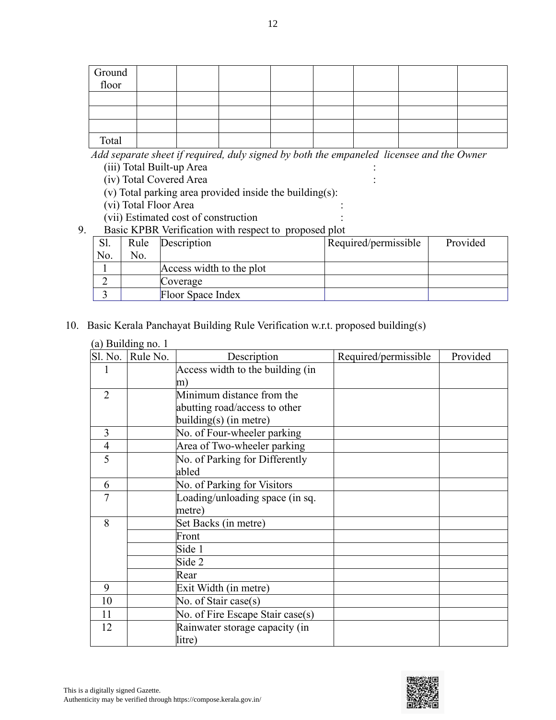| Ground<br>floor |  |  |  |  |
|-----------------|--|--|--|--|
|                 |  |  |  |  |
|                 |  |  |  |  |
|                 |  |  |  |  |
| Total           |  |  |  |  |

*Add separate sheet if required, duly signed by both the empaneled licensee and the Owner*

(iii) Total Built-up Area :

(iv) Total Covered Area :

 $(v)$  Total parking area provided inside the building(s):

(vi) Total Floor Area :

(vii) Estimated cost of construction :

9. Basic KPBR Verification with respect to proposed plot

| Sl. | Rule | Description              | Required/permissible | Provided |
|-----|------|--------------------------|----------------------|----------|
| No. | No.  |                          |                      |          |
|     |      | Access width to the plot |                      |          |
|     |      | Coverage                 |                      |          |
|     |      | Floor Space Index        |                      |          |

### 10. Basic Kerala Panchayat Building Rule Verification w.r.t. proposed building(s)

|                | (a) Building no. 1 |                                  |                      |          |
|----------------|--------------------|----------------------------------|----------------------|----------|
|                | Sl. No. Rule No.   | Description                      | Required/permissible | Provided |
|                |                    | Access width to the building (in |                      |          |
|                |                    | m)                               |                      |          |
| $\overline{2}$ |                    | Minimum distance from the        |                      |          |
|                |                    | abutting road/access to other    |                      |          |
|                |                    | building(s) (in metre)           |                      |          |
| 3              |                    | No. of Four-wheeler parking      |                      |          |
| $\overline{4}$ |                    | Area of Two-wheeler parking      |                      |          |
| 5              |                    | No. of Parking for Differently   |                      |          |
|                |                    | abled                            |                      |          |
| 6              |                    | No. of Parking for Visitors      |                      |          |
| $\overline{7}$ |                    | Loading/unloading space (in sq.  |                      |          |
|                |                    | metre)                           |                      |          |
| 8              |                    | Set Backs (in metre)             |                      |          |
|                |                    | Front                            |                      |          |
|                |                    | Side 1                           |                      |          |
|                |                    | Side 2                           |                      |          |
|                |                    | Rear                             |                      |          |
| 9              |                    | Exit Width (in metre)            |                      |          |
| 10             |                    | No. of Stair case(s)             |                      |          |
| 11             |                    | No. of Fire Escape Stair case(s) |                      |          |
| 12             |                    | Rainwater storage capacity (in   |                      |          |
|                |                    | litre)                           |                      |          |

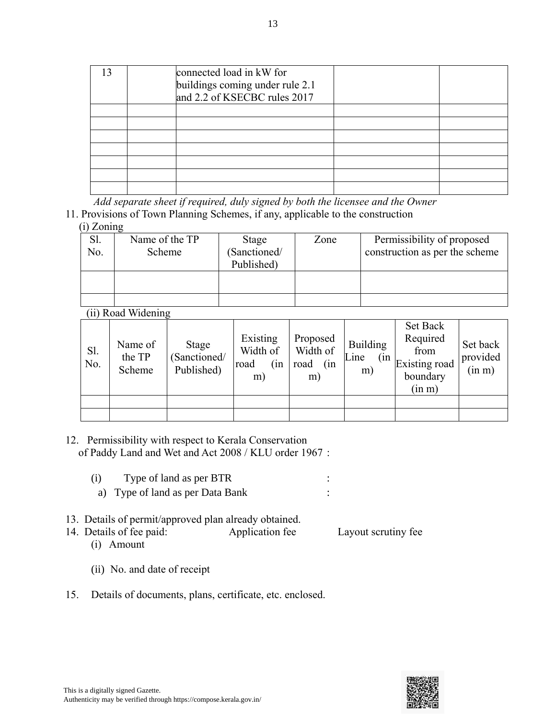|  | connected load in kW for<br>buildings coming under rule 2.1<br>and 2.2 of KSECBC rules 2017 |  |
|--|---------------------------------------------------------------------------------------------|--|
|  |                                                                                             |  |
|  |                                                                                             |  |
|  |                                                                                             |  |
|  |                                                                                             |  |
|  |                                                                                             |  |
|  |                                                                                             |  |
|  |                                                                                             |  |

*Add separate sheet if required, duly signed by both the licensee and the Owner*

11. Provisions of Town Planning Schemes, if any, applicable to the construction

(i) Zoning

| Sl. | Name of the TP | Stage        | Zone | Permissibility of proposed     |
|-----|----------------|--------------|------|--------------------------------|
| No. | Scheme         | (Sanctioned/ |      | construction as per the scheme |
|     |                | Published)   |      |                                |
|     |                |              |      |                                |
|     |                |              |      |                                |
|     |                |              |      |                                |

(ii) Road Widening

| S1.<br>No. | Name of<br>the TP<br>Scheme | Stage<br>(Sanctioned/<br>Published) | Existing<br>Width of<br>(in<br>road<br>m) | Proposed<br>Width of<br>road<br>(in<br>m) | <b>Building</b><br>Line<br>m) | Set Back<br>Required<br>from<br>$\frac{\text{(in}}{\text{Existing road}}$<br>boundary<br>(in m) | Set back<br>provided<br>(in m) |
|------------|-----------------------------|-------------------------------------|-------------------------------------------|-------------------------------------------|-------------------------------|-------------------------------------------------------------------------------------------------|--------------------------------|
|            |                             |                                     |                                           |                                           |                               |                                                                                                 |                                |
|            |                             |                                     |                                           |                                           |                               |                                                                                                 |                                |

- 12. Permissibility with respect to Kerala Conservation of Paddy Land and Wet and Act 2008 / KLU order 1967 :
	- (i) Type of land as per BTR : a) Type of land as per Data Bank :
- 13. Details of permit/approved plan already obtained.
- 14. Details of fee paid: Application fee Layout scrutiny fee (i) Amount
	- (ii) No. and date of receipt
- 15. Details of documents, plans, certificate, etc. enclosed.

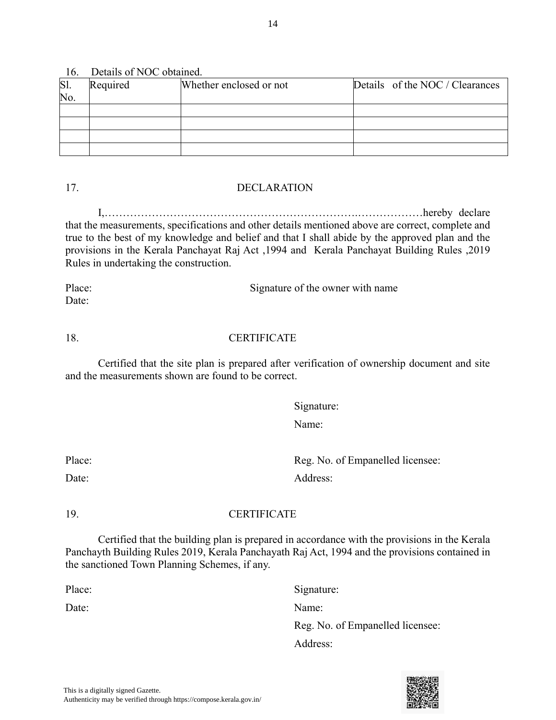Authenticity may be verified through https://compose.kerala.gov.in/

## 16. Details of NOC obtained.

| Sl. | Required | Whether enclosed or not | Details of the NOC / Clearances |
|-----|----------|-------------------------|---------------------------------|
| No. |          |                         |                                 |
|     |          |                         |                                 |
|     |          |                         |                                 |
|     |          |                         |                                 |
|     |          |                         |                                 |

## 17. DECLARATION

I,…………………………………………………………….………………hereby declare that the measurements, specifications and other details mentioned above are correct, complete and true to the best of my knowledge and belief and that I shall abide by the approved plan and the provisions in the Kerala Panchayat Raj Act ,1994 and Kerala Panchayat Building Rules ,2019 Rules in undertaking the construction.

Place: Signature of the owner with name Date:

## 18. CERTIFICATE

Certified that the site plan is prepared after verification of ownership document and site and the measurements shown are found to be correct.

Signature:

Address:

Name:

Place: Reg. No. of Empanelled licensee: Date: Address:

## 19. CERTIFICATE

Certified that the building plan is prepared in accordance with the provisions in the Kerala Panchayth Building Rules 2019, Kerala Panchayath Raj Act, 1994 and the provisions contained in the sanctioned Town Planning Schemes, if any.

Place: Signature:

Date: Name:

This is a digitally signed Gazette.



Reg. No. of Empanelled licensee: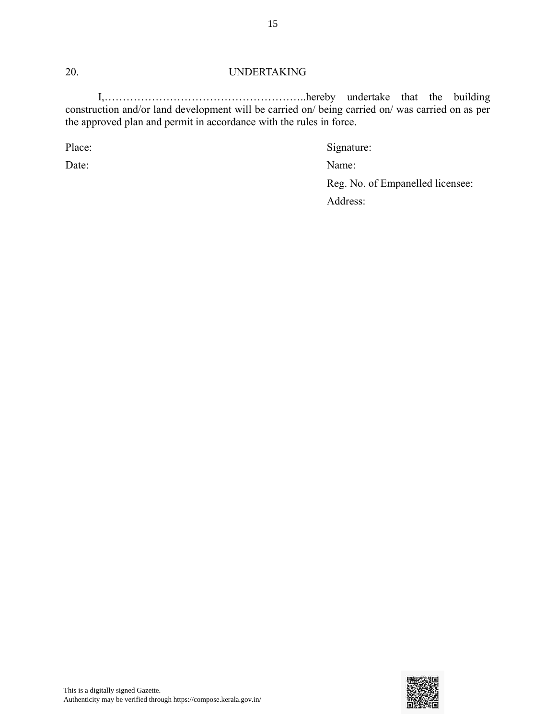#### 20. UNDERTAKING

I,………………………………………………..hereby undertake that the building construction and/or land development will be carried on/ being carried on/ was carried on as per the approved plan and permit in accordance with the rules in force.

Place: Signature: Signature:

Date: Name:

Reg. No. of Empanelled licensee:

Address:

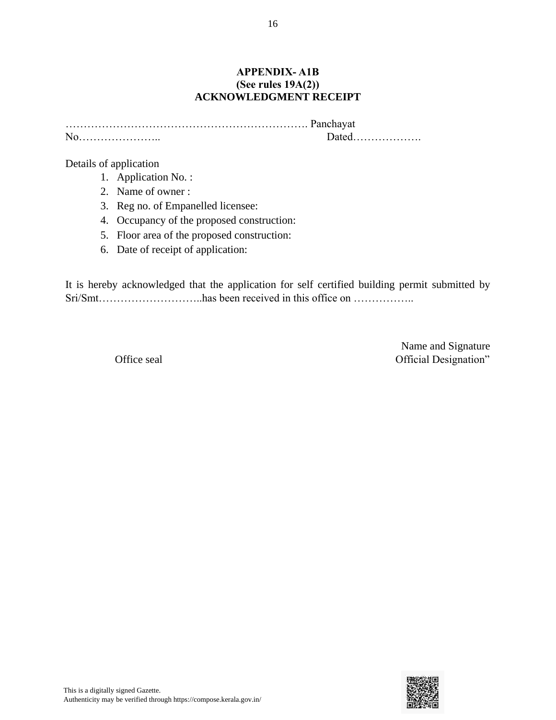#### **APPENDIX- A1B (See rules 19A(2)) ACKNOWLEDGMENT RECEIPT**

…………………………………………………………. Panchayat No………………….. Dated……………….

Details of application

- 1. Application No. :
- 2. Name of owner :
- 3. Reg no. of Empanelled licensee:
- 4. Occupancy of the proposed construction:
- 5. Floor area of the proposed construction:
- 6. Date of receipt of application:

It is hereby acknowledged that the application for self certified building permit submitted by Sri/Smt………………………..has been received in this office on ……………..

Name and Signature Office seal **Official Designation**"

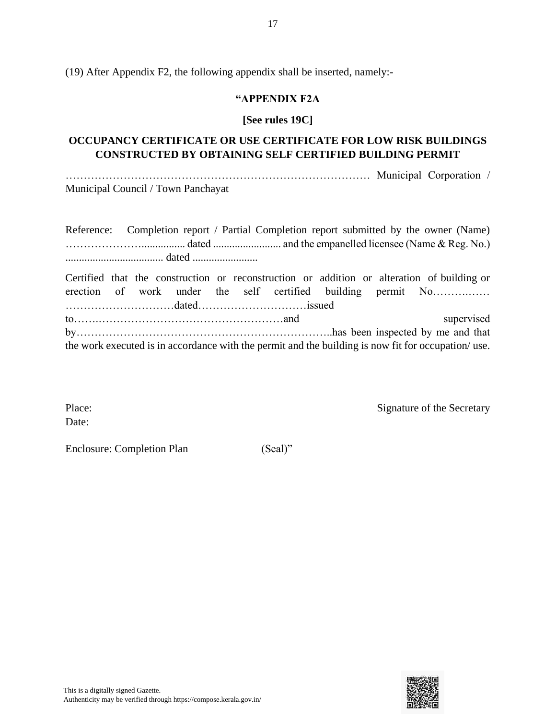(19) After Appendix F2, the following appendix shall be inserted, namely:-

#### **"APPENDIX F2A**

#### **[See rules 19C]**

## **OCCUPANCY CERTIFICATE OR USE CERTIFICATE FOR LOW RISK BUILDINGS CONSTRUCTED BY OBTAINING SELF CERTIFIED BUILDING PERMIT**

………………………………………………………………………… Municipal Corporation / Municipal Council / Town Panchayat

|  |  |  |  | Reference: Completion report / Partial Completion report submitted by the owner (Name)                                                                     |
|--|--|--|--|------------------------------------------------------------------------------------------------------------------------------------------------------------|
|  |  |  |  |                                                                                                                                                            |
|  |  |  |  |                                                                                                                                                            |
|  |  |  |  | Certified that the construction or reconstruction or addition or alteration of building or<br>erection of work under the self certified building permit No |
|  |  |  |  | supervised                                                                                                                                                 |
|  |  |  |  |                                                                                                                                                            |
|  |  |  |  | the work executed is in accordance with the permit and the building is now fit for occupation/use.                                                         |

Date:

Place: Signature of the Secretary

Enclosure: Completion Plan (Seal)"

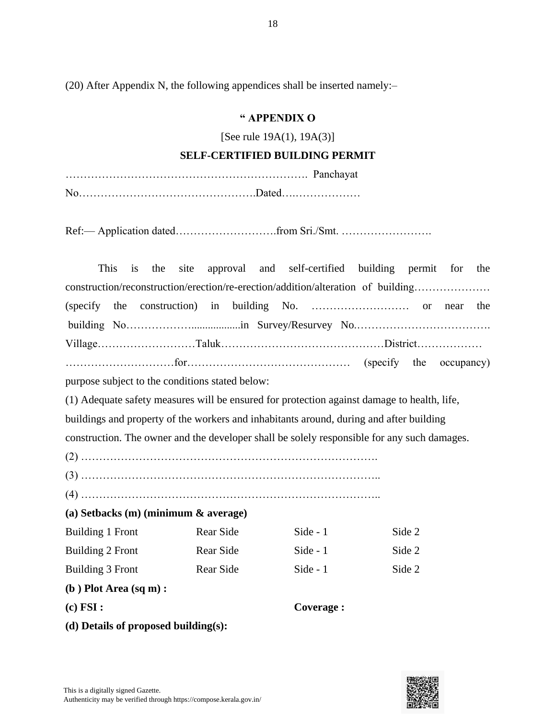(20) After Appendix N, the following appendices shall be inserted namely:–

## **" APPENDIX O**

[See rule 19A(1), 19A(3)]

#### **SELF-CERTIFIED BUILDING PERMIT**

Ref:— Application dated……………………….from Sri./Smt. …………………….

|                                           | This<br><i>is</i>                                                                | the | site |                                                 |  |  |            | approval and self-certified building permit for                                             |        | the |
|-------------------------------------------|----------------------------------------------------------------------------------|-----|------|-------------------------------------------------|--|--|------------|---------------------------------------------------------------------------------------------|--------|-----|
|                                           | construction/reconstruction/erection/re-erection/addition/alteration of building |     |      |                                                 |  |  |            |                                                                                             |        |     |
|                                           |                                                                                  |     |      |                                                 |  |  |            |                                                                                             |        | the |
|                                           |                                                                                  |     |      |                                                 |  |  |            |                                                                                             |        |     |
|                                           |                                                                                  |     |      |                                                 |  |  |            |                                                                                             |        |     |
|                                           |                                                                                  |     |      |                                                 |  |  |            |                                                                                             |        |     |
|                                           |                                                                                  |     |      | purpose subject to the conditions stated below: |  |  |            |                                                                                             |        |     |
|                                           |                                                                                  |     |      |                                                 |  |  |            | (1) Adequate safety measures will be ensured for protection against damage to health, life, |        |     |
|                                           |                                                                                  |     |      |                                                 |  |  |            | buildings and property of the workers and inhabitants around, during and after building     |        |     |
|                                           |                                                                                  |     |      |                                                 |  |  |            | construction. The owner and the developer shall be solely responsible for any such damages. |        |     |
|                                           |                                                                                  |     |      |                                                 |  |  |            |                                                                                             |        |     |
|                                           |                                                                                  |     |      |                                                 |  |  |            |                                                                                             |        |     |
|                                           |                                                                                  |     |      |                                                 |  |  |            |                                                                                             |        |     |
| (a) Setbacks $(m)$ (minimum $\&$ average) |                                                                                  |     |      |                                                 |  |  |            |                                                                                             |        |     |
| Building 1 Front                          |                                                                                  |     |      | Rear Side                                       |  |  | Side - 1   |                                                                                             | Side 2 |     |
| Building 2 Front                          |                                                                                  |     |      | Rear Side                                       |  |  | Side - $1$ |                                                                                             | Side 2 |     |
| Building 3 Front                          |                                                                                  |     |      | Rear Side                                       |  |  | Side - 1   |                                                                                             | Side 2 |     |
| $(b)$ Plot Area $(sq m)$ :                |                                                                                  |     |      |                                                 |  |  |            |                                                                                             |        |     |
| (c) FSI:                                  |                                                                                  |     |      |                                                 |  |  | Coverage : |                                                                                             |        |     |
|                                           | (d) Details of proposed building(s):                                             |     |      |                                                 |  |  |            |                                                                                             |        |     |

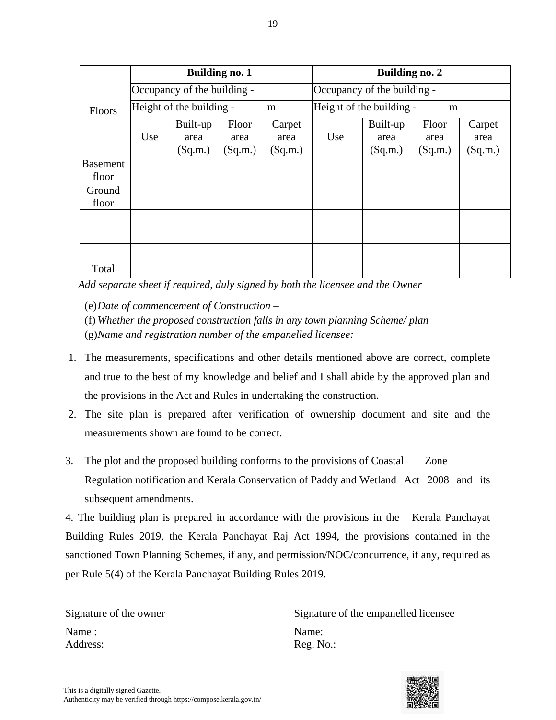|                          |     |                             | <b>Building no. 1</b>    |                           | <b>Building no. 2</b>         |                             |                          |                           |  |
|--------------------------|-----|-----------------------------|--------------------------|---------------------------|-------------------------------|-----------------------------|--------------------------|---------------------------|--|
|                          |     | Occupancy of the building - |                          |                           | Occupancy of the building -   |                             |                          |                           |  |
| Floors                   |     | Height of the building -    |                          | m                         | Height of the building -<br>m |                             |                          |                           |  |
|                          | Use | Built-up<br>area<br>(Sq.m.) | Floor<br>area<br>(Sq.m.) | Carpet<br>area<br>(Sq.m.) | Use                           | Built-up<br>area<br>(Sq.m.) | Floor<br>area<br>(Sq.m.) | Carpet<br>area<br>(Sq.m.) |  |
| <b>Basement</b><br>floor |     |                             |                          |                           |                               |                             |                          |                           |  |
| Ground<br>floor          |     |                             |                          |                           |                               |                             |                          |                           |  |
|                          |     |                             |                          |                           |                               |                             |                          |                           |  |
|                          |     |                             |                          |                           |                               |                             |                          |                           |  |
|                          |     |                             |                          |                           |                               |                             |                          |                           |  |
| Total                    |     |                             |                          |                           |                               |                             |                          |                           |  |

*Add separate sheet if required, duly signed by both the licensee and the Owner*

(e)*Date of commencement of Construction –*

(f) *Whether the proposed construction falls in any town planning Scheme/ plan* (g)*Name and registration number of the empanelled licensee:* 

- 1. The measurements, specifications and other details mentioned above are correct, complete and true to the best of my knowledge and belief and I shall abide by the approved plan and the provisions in the Act and Rules in undertaking the construction.
- 2. The site plan is prepared after verification of ownership document and site and the measurements shown are found to be correct.
- 3. The plot and the proposed building conforms to the provisions of Coastal Zone Regulation notification and Kerala Conservation of Paddy and Wetland Act 2008 and its subsequent amendments.

4. The building plan is prepared in accordance with the provisions in the Kerala Panchayat Building Rules 2019, the Kerala Panchayat Raj Act 1994, the provisions contained in the sanctioned Town Planning Schemes, if any, and permission/NOC/concurrence, if any, required as per Rule 5(4) of the Kerala Panchayat Building Rules 2019.

Name : Name: Address: Reg. No.:

Signature of the owner Signature of the empanelled licensee

19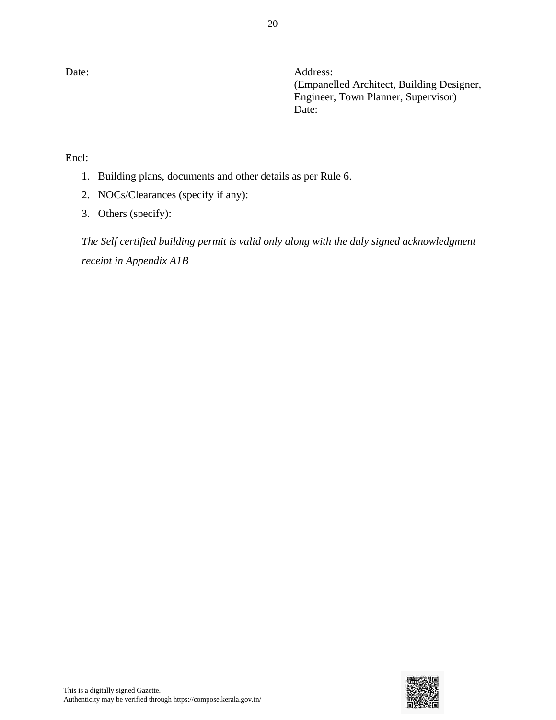20

Date: Address: (Empanelled Architect, Building Designer, Engineer, Town Planner, Supervisor) Date:

Encl:

- 1. Building plans, documents and other details as per Rule 6.
- 2. NOCs/Clearances (specify if any):
- 3. Others (specify):

*The Self certified building permit is valid only along with the duly signed acknowledgment receipt in Appendix A1B*

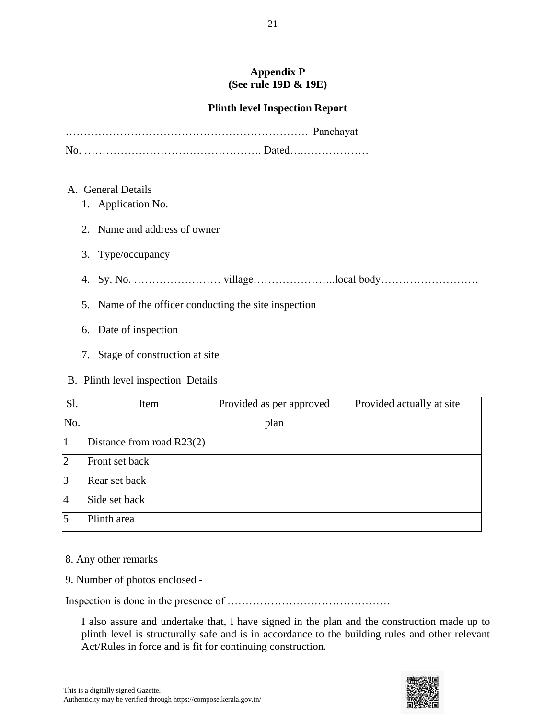#### **Appendix P (See rule 19D & 19E)**

## **Plinth level Inspection Report**

- A. General Details
	- 1. Application No.
	- 2. Name and address of owner
	- 3. Type/occupancy
	- 4. Sy. No. …………………… village…………………..local body………………………
	- 5. Name of the officer conducting the site inspection
	- 6. Date of inspection
	- 7. Stage of construction at site
- B. Plinth level inspection Details

| Sl.            | Item                      | Provided as per approved | Provided actually at site |
|----------------|---------------------------|--------------------------|---------------------------|
| No.            |                           | plan                     |                           |
|                | Distance from road R23(2) |                          |                           |
| $\overline{2}$ | Front set back            |                          |                           |
| $\overline{3}$ | Rear set back             |                          |                           |
| $\overline{4}$ | Side set back             |                          |                           |
| $\overline{5}$ | Plinth area               |                          |                           |

- 8. Any other remarks
- 9. Number of photos enclosed -

Inspection is done in the presence of ………………………………………

I also assure and undertake that, I have signed in the plan and the construction made up to plinth level is structurally safe and is in accordance to the building rules and other relevant Act/Rules in force and is fit for continuing construction.

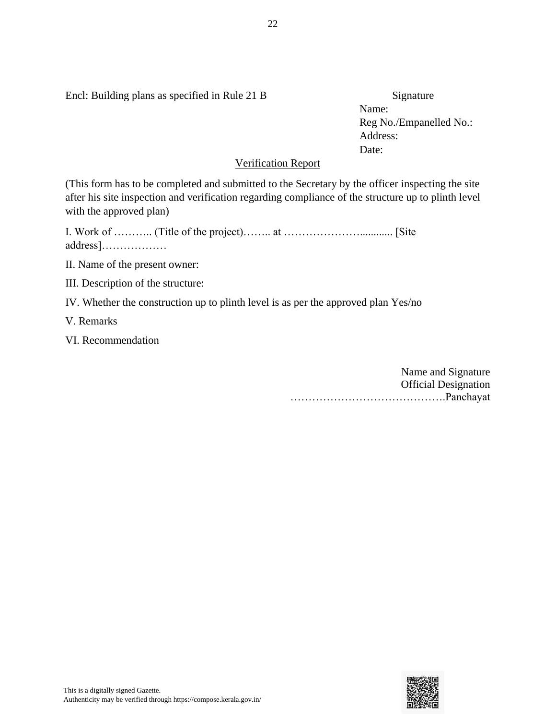Encl: Building plans as specified in Rule 21 B Signature

Name: Reg No./Empanelled No.: Address: Date:

#### Verification Report

(This form has to be completed and submitted to the Secretary by the officer inspecting the site after his site inspection and verification regarding compliance of the structure up to plinth level with the approved plan)

I. Work of ……….. (Title of the project)…….. at …………………............ [Site address]………………

II. Name of the present owner:

III. Description of the structure:

IV. Whether the construction up to plinth level is as per the approved plan Yes/no

V. Remarks

VI. Recommendation

Name and Signature Official Designation …………………………………….Panchayat

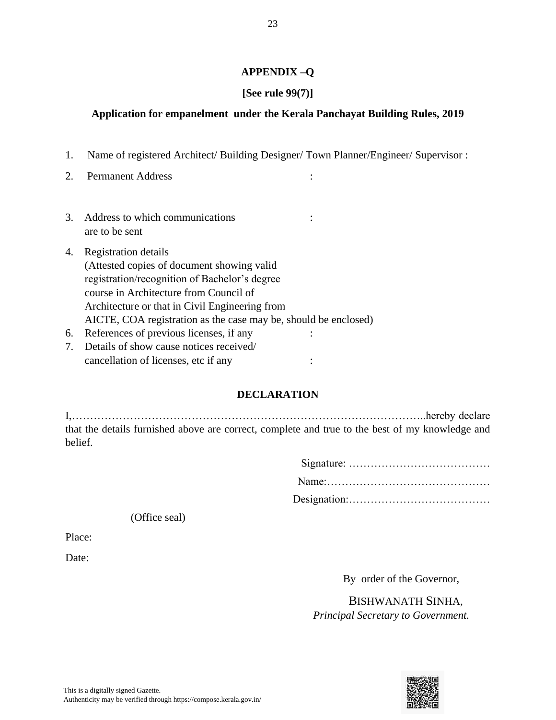#### **APPENDIX –Q**

### **[See rule 99(7)]**

#### **Application for empanelment under the Kerala Panchayat Building Rules, 2019**

- 1. Name of registered Architect/ Building Designer/ Town Planner/Engineer/ Supervisor :
- 2. Permanent Address :
- 3. Address to which communications : are to be sent
- 4. Registration details (Attested copies of document showing valid registration/recognition of Bachelor's degree course in Architecture from Council of Architecture or that in Civil Engineering from AICTE, COA registration as the case may be, should be enclosed) 6. References of previous licenses, if any :
- 7. Details of show cause notices received/ cancellation of licenses, etc if any :

#### **DECLARATION**

I,……………………………………………………………………………………..hereby declare that the details furnished above are correct, complete and true to the best of my knowledge and belief.

(Office seal)

Place:

Date:

By order of the Governor,

 BISHWANATH SINHA, *Principal Secretary to Government.*